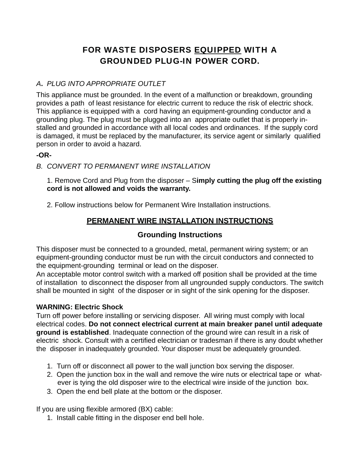# FOR WASTE DISPOSERS EQUIPPED WITH A GROUNDED PLUG-IN POWER CORD.

## *A***.** *PLUG INTO APPROPRIATE OUTLET*

This appliance must be grounded. In the event of a malfunction or breakdown, grounding provides a path of least resistance for electric current to reduce the risk of electric shock. This appliance is equipped with a cord having an equipment-grounding conductor and a grounding plug. The plug must be plugged into an appropriate outlet that is properly installed and grounded in accordance with all local codes and ordinances. If the supply cord is damaged, it must be replaced by the manufacturer, its service agent or similarly qualified person in order to avoid a hazard.

#### **-OR-**

*B. CONVERT TO PERMANENT WIRE INSTALLATION* 

1. Remove Cord and Plug from the disposer – S**imply cutting the plug off the existing cord is not allowed and voids the warranty.** 

2. Follow instructions below for Permanent Wire Installation instructions.

## **PERMANENT WIRE INSTALLATION INSTRUCTIONS**

### **Grounding Instructions**

This disposer must be connected to a grounded, metal, permanent wiring system; or an equipment-grounding conductor must be run with the circuit conductors and connected to the equipment-grounding terminal or lead on the disposer.

An acceptable motor control switch with a marked off position shall be provided at the time of installation to disconnect the disposer from all ungrounded supply conductors. The switch shall be mounted in sight of the disposer or in sight of the sink opening for the disposer.

#### **WARNING: Electric Shock**

Turn off power before installing or servicing disposer. All wiring must comply with local electrical codes. **Do not connect electrical current at main breaker panel until adequate ground is established**. Inadequate connection of the ground wire can result in a risk of electric shock. Consult with a certified electrician or tradesman if there is any doubt whether the disposer in inadequately grounded. Your disposer must be adequately grounded.

- 1. Turn off or disconnect all power to the wall junction box serving the disposer.
- 2. Open the junction box in the wall and remove the wire nuts or electrical tape or whatever is tying the old disposer wire to the electrical wire inside of the junction box.
- 3. Open the end bell plate at the bottom or the disposer.

If you are using flexible armored  $(BX)$  cable:

1. Install cable fitting in the disposer end bell hole.